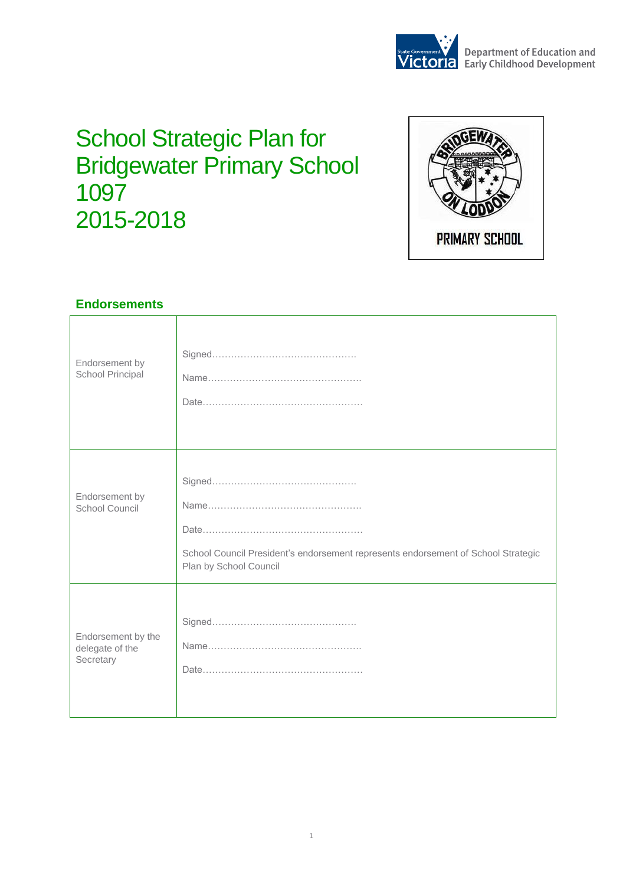

# **School Strategic Plan for** Bridgewater Primary School 1097 2015-2018



### **Endorsements**

| Endorsement by<br>School Principal                 |                                                                                                             |
|----------------------------------------------------|-------------------------------------------------------------------------------------------------------------|
| Endorsement by<br>School Council                   | School Council President's endorsement represents endorsement of School Strategic<br>Plan by School Council |
| Endorsement by the<br>delegate of the<br>Secretary |                                                                                                             |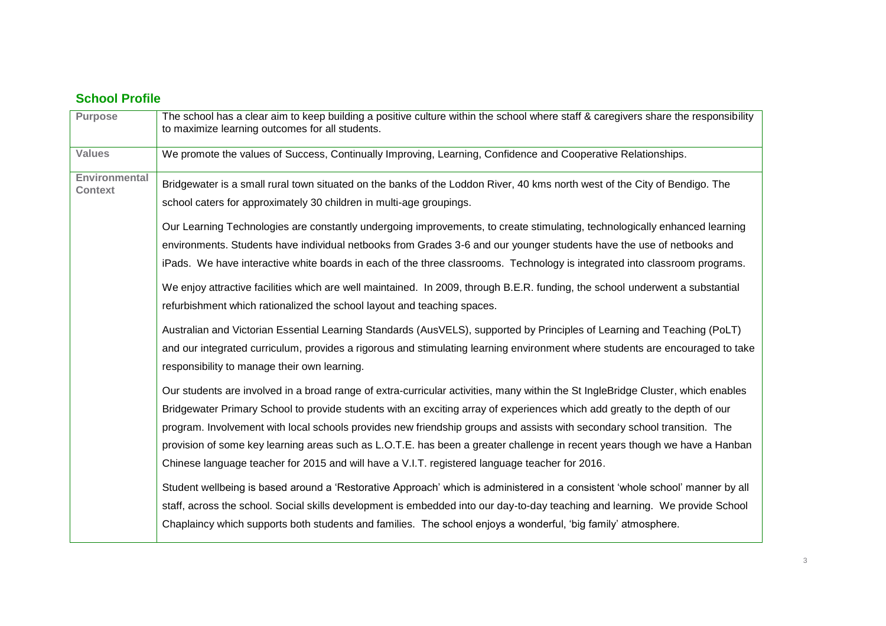## **School Profile**

| <b>Purpose</b>                         | The school has a clear aim to keep building a positive culture within the school where staff & caregivers share the responsibility<br>to maximize learning outcomes for all students.             |
|----------------------------------------|---------------------------------------------------------------------------------------------------------------------------------------------------------------------------------------------------|
| <b>Values</b>                          | We promote the values of Success, Continually Improving, Learning, Confidence and Cooperative Relationships.                                                                                      |
| <b>Environmental</b><br><b>Context</b> | Bridgewater is a small rural town situated on the banks of the Loddon River, 40 kms north west of the City of Bendigo. The<br>school caters for approximately 30 children in multi-age groupings. |
|                                        | Our Learning Technologies are constantly undergoing improvements, to create stimulating, technologically enhanced learning                                                                        |
|                                        | environments. Students have individual netbooks from Grades 3-6 and our younger students have the use of netbooks and                                                                             |
|                                        | iPads. We have interactive white boards in each of the three classrooms. Technology is integrated into classroom programs.                                                                        |
|                                        | We enjoy attractive facilities which are well maintained. In 2009, through B.E.R. funding, the school underwent a substantial                                                                     |
|                                        | refurbishment which rationalized the school layout and teaching spaces.                                                                                                                           |
|                                        | Australian and Victorian Essential Learning Standards (AusVELS), supported by Principles of Learning and Teaching (PoLT)                                                                          |
|                                        | and our integrated curriculum, provides a rigorous and stimulating learning environment where students are encouraged to take<br>responsibility to manage their own learning.                     |
|                                        | Our students are involved in a broad range of extra-curricular activities, many within the St IngleBridge Cluster, which enables                                                                  |
|                                        | Bridgewater Primary School to provide students with an exciting array of experiences which add greatly to the depth of our                                                                        |
|                                        | program. Involvement with local schools provides new friendship groups and assists with secondary school transition. The                                                                          |
|                                        | provision of some key learning areas such as L.O.T.E. has been a greater challenge in recent years though we have a Hanban                                                                        |
|                                        | Chinese language teacher for 2015 and will have a V.I.T. registered language teacher for 2016.                                                                                                    |
|                                        | Student wellbeing is based around a 'Restorative Approach' which is administered in a consistent 'whole school' manner by all                                                                     |
|                                        | staff, across the school. Social skills development is embedded into our day-to-day teaching and learning. We provide School                                                                      |
|                                        | Chaplaincy which supports both students and families. The school enjoys a wonderful, 'big family' atmosphere.                                                                                     |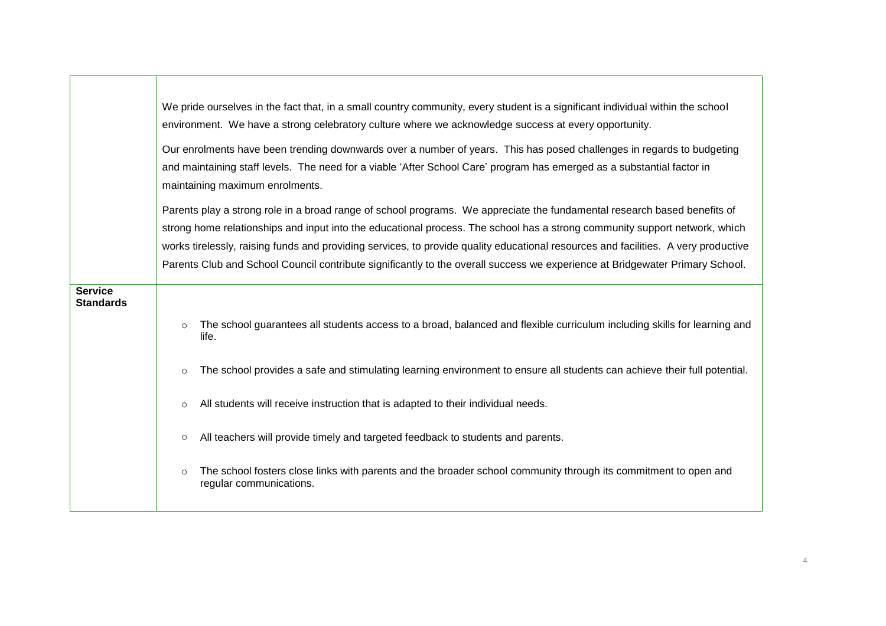|                                    | We pride ourselves in the fact that, in a small country community, every student is a significant individual within the school<br>environment. We have a strong celebratory culture where we acknowledge success at every opportunity.<br>Our enrolments have been trending downwards over a number of years. This has posed challenges in regards to budgeting<br>and maintaining staff levels. The need for a viable 'After School Care' program has emerged as a substantial factor in<br>maintaining maximum enrolments. |  |  |  |  |  |  |  |  |
|------------------------------------|------------------------------------------------------------------------------------------------------------------------------------------------------------------------------------------------------------------------------------------------------------------------------------------------------------------------------------------------------------------------------------------------------------------------------------------------------------------------------------------------------------------------------|--|--|--|--|--|--|--|--|
|                                    | Parents play a strong role in a broad range of school programs. We appreciate the fundamental research based benefits of<br>strong home relationships and input into the educational process. The school has a strong community support network, which                                                                                                                                                                                                                                                                       |  |  |  |  |  |  |  |  |
|                                    | works tirelessly, raising funds and providing services, to provide quality educational resources and facilities. A very productive                                                                                                                                                                                                                                                                                                                                                                                           |  |  |  |  |  |  |  |  |
|                                    | Parents Club and School Council contribute significantly to the overall success we experience at Bridgewater Primary School.                                                                                                                                                                                                                                                                                                                                                                                                 |  |  |  |  |  |  |  |  |
| <b>Service</b><br><b>Standards</b> |                                                                                                                                                                                                                                                                                                                                                                                                                                                                                                                              |  |  |  |  |  |  |  |  |
|                                    | The school guarantees all students access to a broad, balanced and flexible curriculum including skills for learning and<br>$\circ$<br>life.                                                                                                                                                                                                                                                                                                                                                                                 |  |  |  |  |  |  |  |  |
|                                    | The school provides a safe and stimulating learning environment to ensure all students can achieve their full potential.<br>$\circ$                                                                                                                                                                                                                                                                                                                                                                                          |  |  |  |  |  |  |  |  |
|                                    | All students will receive instruction that is adapted to their individual needs.<br>$\circ$                                                                                                                                                                                                                                                                                                                                                                                                                                  |  |  |  |  |  |  |  |  |
|                                    | All teachers will provide timely and targeted feedback to students and parents.<br>$\circ$                                                                                                                                                                                                                                                                                                                                                                                                                                   |  |  |  |  |  |  |  |  |
|                                    | The school fosters close links with parents and the broader school community through its commitment to open and<br>$\circ$<br>regular communications.                                                                                                                                                                                                                                                                                                                                                                        |  |  |  |  |  |  |  |  |

 $\blacksquare$ 

┱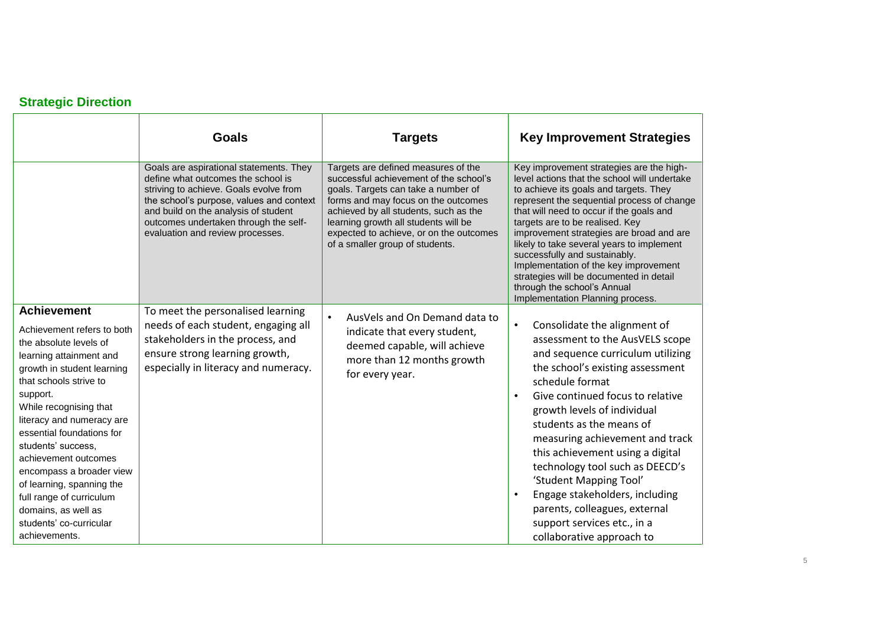## **Strategic Direction**

|                                                                                                                                                                                                                                                                                                                                                                                                                                                                     | <b>Goals</b>                                                                                                                                                                                                                                                                             | <b>Targets</b>                                                                                                                                                                                                                                                                                                             | <b>Key Improvement Strategies</b>                                                                                                                                                                                                                                                                                                                                                                                                                                                                                                                                    |
|---------------------------------------------------------------------------------------------------------------------------------------------------------------------------------------------------------------------------------------------------------------------------------------------------------------------------------------------------------------------------------------------------------------------------------------------------------------------|------------------------------------------------------------------------------------------------------------------------------------------------------------------------------------------------------------------------------------------------------------------------------------------|----------------------------------------------------------------------------------------------------------------------------------------------------------------------------------------------------------------------------------------------------------------------------------------------------------------------------|----------------------------------------------------------------------------------------------------------------------------------------------------------------------------------------------------------------------------------------------------------------------------------------------------------------------------------------------------------------------------------------------------------------------------------------------------------------------------------------------------------------------------------------------------------------------|
|                                                                                                                                                                                                                                                                                                                                                                                                                                                                     | Goals are aspirational statements. They<br>define what outcomes the school is<br>striving to achieve. Goals evolve from<br>the school's purpose, values and context<br>and build on the analysis of student<br>outcomes undertaken through the self-<br>evaluation and review processes. | Targets are defined measures of the<br>successful achievement of the school's<br>goals. Targets can take a number of<br>forms and may focus on the outcomes<br>achieved by all students, such as the<br>learning growth all students will be<br>expected to achieve, or on the outcomes<br>of a smaller group of students. | Key improvement strategies are the high-<br>level actions that the school will undertake<br>to achieve its goals and targets. They<br>represent the sequential process of change<br>that will need to occur if the goals and<br>targets are to be realised. Key<br>improvement strategies are broad and are<br>likely to take several years to implement<br>successfully and sustainably.<br>Implementation of the key improvement<br>strategies will be documented in detail<br>through the school's Annual<br>Implementation Planning process.                     |
| <b>Achievement</b><br>Achievement refers to both<br>the absolute levels of<br>learning attainment and<br>growth in student learning<br>that schools strive to<br>support.<br>While recognising that<br>literacy and numeracy are<br>essential foundations for<br>students' success,<br>achievement outcomes<br>encompass a broader view<br>of learning, spanning the<br>full range of curriculum<br>domains, as well as<br>students' co-curricular<br>achievements. | To meet the personalised learning<br>needs of each student, engaging all<br>stakeholders in the process, and<br>ensure strong learning growth,<br>especially in literacy and numeracy.                                                                                                   | AusVels and On Demand data to<br>$\bullet$<br>indicate that every student,<br>deemed capable, will achieve<br>more than 12 months growth<br>for every year.                                                                                                                                                                | Consolidate the alignment of<br>$\bullet$<br>assessment to the AusVELS scope<br>and sequence curriculum utilizing<br>the school's existing assessment<br>schedule format<br>Give continued focus to relative<br>$\bullet$<br>growth levels of individual<br>students as the means of<br>measuring achievement and track<br>this achievement using a digital<br>technology tool such as DEECD's<br>'Student Mapping Tool'<br>Engage stakeholders, including<br>$\bullet$<br>parents, colleagues, external<br>support services etc., in a<br>collaborative approach to |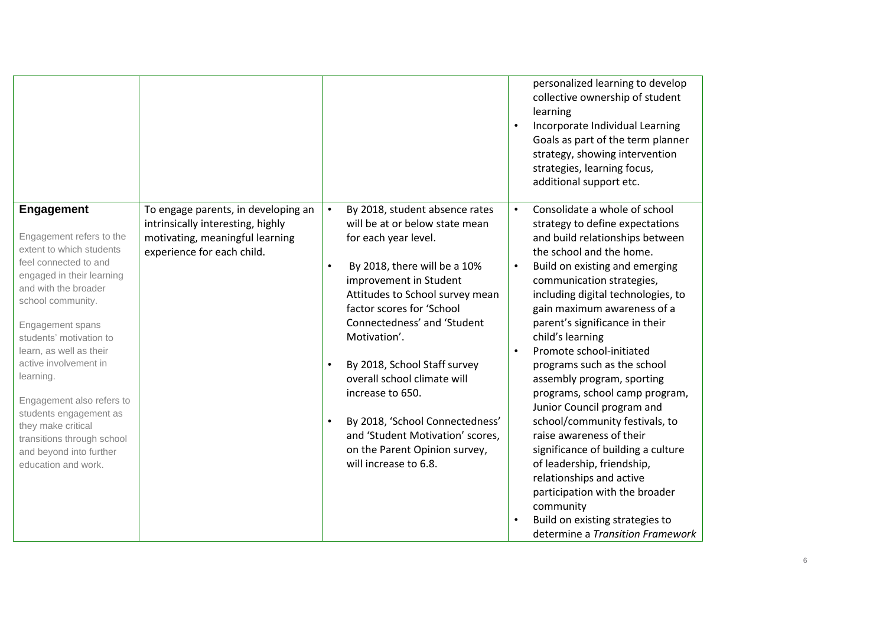|                                                                                |                                                                          |                                                                               | $\bullet$ | personalized learning to develop<br>collective ownership of student<br>learning<br>Incorporate Individual Learning<br>Goals as part of the term planner<br>strategy, showing intervention<br>strategies, learning focus,<br>additional support etc. |
|--------------------------------------------------------------------------------|--------------------------------------------------------------------------|-------------------------------------------------------------------------------|-----------|-----------------------------------------------------------------------------------------------------------------------------------------------------------------------------------------------------------------------------------------------------|
| <b>Engagement</b>                                                              | To engage parents, in developing an<br>intrinsically interesting, highly | By 2018, student absence rates<br>$\bullet$<br>will be at or below state mean | $\bullet$ | Consolidate a whole of school<br>strategy to define expectations                                                                                                                                                                                    |
| Engagement refers to the                                                       | motivating, meaningful learning                                          | for each year level.                                                          |           | and build relationships between                                                                                                                                                                                                                     |
| extent to which students<br>feel connected to and<br>engaged in their learning | experience for each child.                                               | By 2018, there will be a 10%<br>$\bullet$                                     | $\bullet$ | the school and the home.<br>Build on existing and emerging                                                                                                                                                                                          |
| and with the broader<br>school community.                                      |                                                                          | improvement in Student<br>Attitudes to School survey mean                     |           | communication strategies,<br>including digital technologies, to                                                                                                                                                                                     |
|                                                                                |                                                                          | factor scores for 'School<br>Connectedness' and 'Student                      |           | gain maximum awareness of a<br>parent's significance in their                                                                                                                                                                                       |
| Engagement spans<br>students' motivation to                                    |                                                                          | Motivation'.                                                                  |           | child's learning                                                                                                                                                                                                                                    |
| learn, as well as their<br>active involvement in                               |                                                                          | By 2018, School Staff survey                                                  | $\bullet$ | Promote school-initiated<br>programs such as the school                                                                                                                                                                                             |
| learning.                                                                      |                                                                          | overall school climate will                                                   |           | assembly program, sporting                                                                                                                                                                                                                          |
| Engagement also refers to                                                      |                                                                          | increase to 650.                                                              |           | programs, school camp program,<br>Junior Council program and                                                                                                                                                                                        |
| students engagement as<br>they make critical                                   |                                                                          | By 2018, 'School Connectedness'                                               |           | school/community festivals, to                                                                                                                                                                                                                      |
| transitions through school<br>and beyond into further                          |                                                                          | and 'Student Motivation' scores,<br>on the Parent Opinion survey,             |           | raise awareness of their<br>significance of building a culture                                                                                                                                                                                      |
| education and work.                                                            |                                                                          | will increase to 6.8.                                                         |           | of leadership, friendship,                                                                                                                                                                                                                          |
|                                                                                |                                                                          |                                                                               |           | relationships and active<br>participation with the broader                                                                                                                                                                                          |
|                                                                                |                                                                          |                                                                               |           | community                                                                                                                                                                                                                                           |
|                                                                                |                                                                          |                                                                               | $\bullet$ | Build on existing strategies to<br>determine a Transition Framework                                                                                                                                                                                 |
|                                                                                |                                                                          |                                                                               |           |                                                                                                                                                                                                                                                     |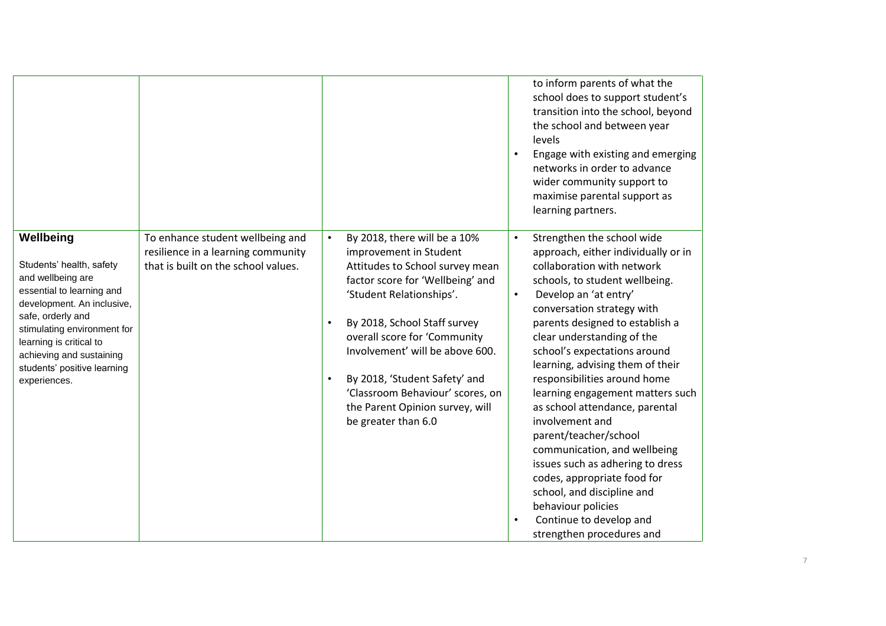|                                                                                                                                                                                                                                                                                 |                                                                                                               |                                                                                                                                                                                                                                                                                                                                                                                                          | to inform parents of what the<br>school does to support student's<br>transition into the school, beyond<br>the school and between year<br>levels<br>Engage with existing and emerging<br>$\bullet$<br>networks in order to advance<br>wider community support to<br>maximise parental support as<br>learning partners.                                                                                                                                                                                                                                                                                                                                                                                                                |
|---------------------------------------------------------------------------------------------------------------------------------------------------------------------------------------------------------------------------------------------------------------------------------|---------------------------------------------------------------------------------------------------------------|----------------------------------------------------------------------------------------------------------------------------------------------------------------------------------------------------------------------------------------------------------------------------------------------------------------------------------------------------------------------------------------------------------|---------------------------------------------------------------------------------------------------------------------------------------------------------------------------------------------------------------------------------------------------------------------------------------------------------------------------------------------------------------------------------------------------------------------------------------------------------------------------------------------------------------------------------------------------------------------------------------------------------------------------------------------------------------------------------------------------------------------------------------|
| Wellbeing<br>Students' health, safety<br>and wellbeing are<br>essential to learning and<br>development. An inclusive,<br>safe, orderly and<br>stimulating environment for<br>learning is critical to<br>achieving and sustaining<br>students' positive learning<br>experiences. | To enhance student wellbeing and<br>resilience in a learning community<br>that is built on the school values. | By 2018, there will be a 10%<br>$\bullet$<br>improvement in Student<br>Attitudes to School survey mean<br>factor score for 'Wellbeing' and<br>'Student Relationships'.<br>By 2018, School Staff survey<br>overall score for 'Community<br>Involvement' will be above 600.<br>By 2018, 'Student Safety' and<br>'Classroom Behaviour' scores, on<br>the Parent Opinion survey, will<br>be greater than 6.0 | Strengthen the school wide<br>$\bullet$<br>approach, either individually or in<br>collaboration with network<br>schools, to student wellbeing.<br>Develop an 'at entry'<br>$\bullet$<br>conversation strategy with<br>parents designed to establish a<br>clear understanding of the<br>school's expectations around<br>learning, advising them of their<br>responsibilities around home<br>learning engagement matters such<br>as school attendance, parental<br>involvement and<br>parent/teacher/school<br>communication, and wellbeing<br>issues such as adhering to dress<br>codes, appropriate food for<br>school, and discipline and<br>behaviour policies<br>Continue to develop and<br>$\bullet$<br>strengthen procedures and |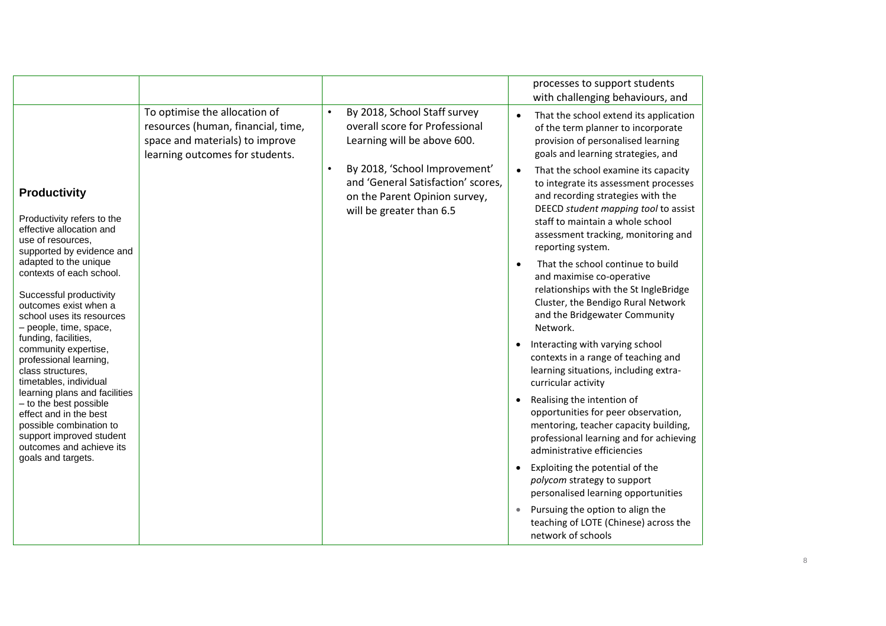|                                                                                                                                                                                                                                                                                                                                                                                                                                                                                                                                                                                                                        |                                                                                                                                           |           |                                                                                                                                                                                                                                   |           | processes to support students<br>with challenging behaviours, and                                                                                                                                                                                                                                                                                                                                                                                                                                                                                                                                                                                                                                                                                                                                                                                                                                                                                                                                                                                                                                                                                                  |
|------------------------------------------------------------------------------------------------------------------------------------------------------------------------------------------------------------------------------------------------------------------------------------------------------------------------------------------------------------------------------------------------------------------------------------------------------------------------------------------------------------------------------------------------------------------------------------------------------------------------|-------------------------------------------------------------------------------------------------------------------------------------------|-----------|-----------------------------------------------------------------------------------------------------------------------------------------------------------------------------------------------------------------------------------|-----------|--------------------------------------------------------------------------------------------------------------------------------------------------------------------------------------------------------------------------------------------------------------------------------------------------------------------------------------------------------------------------------------------------------------------------------------------------------------------------------------------------------------------------------------------------------------------------------------------------------------------------------------------------------------------------------------------------------------------------------------------------------------------------------------------------------------------------------------------------------------------------------------------------------------------------------------------------------------------------------------------------------------------------------------------------------------------------------------------------------------------------------------------------------------------|
| <b>Productivity</b><br>Productivity refers to the<br>effective allocation and<br>use of resources.<br>supported by evidence and<br>adapted to the unique<br>contexts of each school.<br>Successful productivity<br>outcomes exist when a<br>school uses its resources<br>- people, time, space,<br>funding, facilities,<br>community expertise,<br>professional learning,<br>class structures.<br>timetables, individual<br>learning plans and facilities<br>- to the best possible<br>effect and in the best<br>possible combination to<br>support improved student<br>outcomes and achieve its<br>goals and targets. | To optimise the allocation of<br>resources (human, financial, time,<br>space and materials) to improve<br>learning outcomes for students. | $\bullet$ | By 2018, School Staff survey<br>overall score for Professional<br>Learning will be above 600.<br>By 2018, 'School Improvement'<br>and 'General Satisfaction' scores,<br>on the Parent Opinion survey,<br>will be greater than 6.5 | $\bullet$ | That the school extend its application<br>of the term planner to incorporate<br>provision of personalised learning<br>goals and learning strategies, and<br>That the school examine its capacity<br>to integrate its assessment processes<br>and recording strategies with the<br>DEECD student mapping tool to assist<br>staff to maintain a whole school<br>assessment tracking, monitoring and<br>reporting system.<br>That the school continue to build<br>and maximise co-operative<br>relationships with the St IngleBridge<br>Cluster, the Bendigo Rural Network<br>and the Bridgewater Community<br>Network.<br>Interacting with varying school<br>contexts in a range of teaching and<br>learning situations, including extra-<br>curricular activity<br>Realising the intention of<br>opportunities for peer observation,<br>mentoring, teacher capacity building,<br>professional learning and for achieving<br>administrative efficiencies<br>Exploiting the potential of the<br>polycom strategy to support<br>personalised learning opportunities<br>Pursuing the option to align the<br>teaching of LOTE (Chinese) across the<br>network of schools |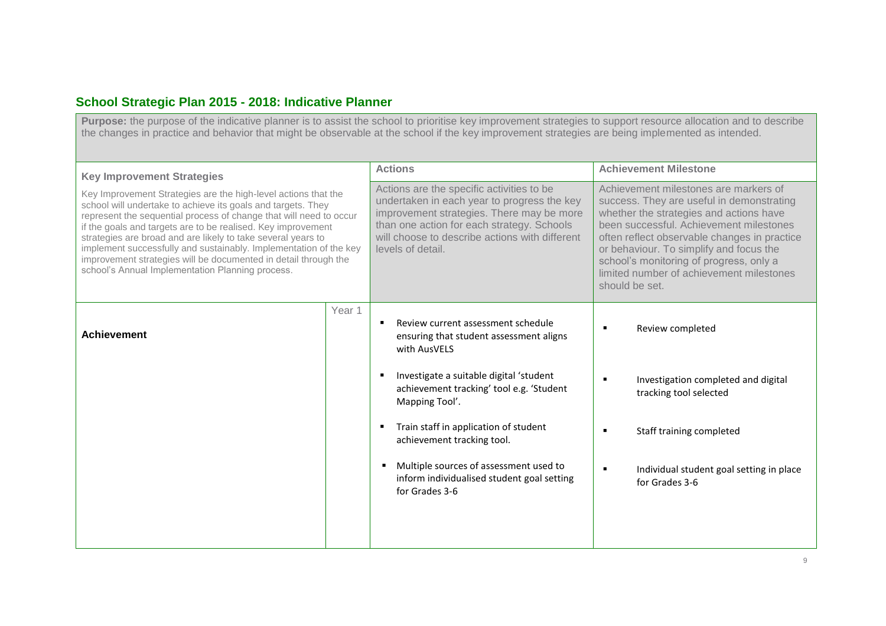#### **School Strategic Plan 2015 - 2018: Indicative Planner**

Purpose: the purpose of the indicative planner is to assist the school to prioritise key improvement strategies to support resource allocation and to describe the changes in practice and behavior that might be observable at the school if the key improvement strategies are being implemented as intended.

| <b>Key Improvement Strategies</b><br>Key Improvement Strategies are the high-level actions that the<br>school will undertake to achieve its goals and targets. They<br>represent the sequential process of change that will need to occur<br>if the goals and targets are to be realised. Key improvement<br>strategies are broad and are likely to take several years to<br>implement successfully and sustainably. Implementation of the key<br>improvement strategies will be documented in detail through the<br>school's Annual Implementation Planning process. |        | <b>Actions</b>                                                                                                                                                                                                                                                                                                                                                                               | <b>Achievement Milestone</b>                                                                                                                                                                                                                                                                                                                                                 |
|-----------------------------------------------------------------------------------------------------------------------------------------------------------------------------------------------------------------------------------------------------------------------------------------------------------------------------------------------------------------------------------------------------------------------------------------------------------------------------------------------------------------------------------------------------------------------|--------|----------------------------------------------------------------------------------------------------------------------------------------------------------------------------------------------------------------------------------------------------------------------------------------------------------------------------------------------------------------------------------------------|------------------------------------------------------------------------------------------------------------------------------------------------------------------------------------------------------------------------------------------------------------------------------------------------------------------------------------------------------------------------------|
|                                                                                                                                                                                                                                                                                                                                                                                                                                                                                                                                                                       |        | Actions are the specific activities to be<br>undertaken in each year to progress the key<br>improvement strategies. There may be more<br>than one action for each strategy. Schools<br>will choose to describe actions with different<br>levels of detail.                                                                                                                                   | Achievement milestones are markers of<br>success. They are useful in demonstrating<br>whether the strategies and actions have<br>been successful. Achievement milestones<br>often reflect observable changes in practice<br>or behaviour. To simplify and focus the<br>school's monitoring of progress, only a<br>limited number of achievement milestones<br>should be set. |
| <b>Achievement</b>                                                                                                                                                                                                                                                                                                                                                                                                                                                                                                                                                    | Year 1 | Review current assessment schedule<br>ensuring that student assessment aligns<br>with AusVELS<br>Investigate a suitable digital 'student<br>achievement tracking' tool e.g. 'Student<br>Mapping Tool'.<br>Train staff in application of student<br>achievement tracking tool.<br>Multiple sources of assessment used to<br>٠<br>inform individualised student goal setting<br>for Grades 3-6 | Review completed<br>$\blacksquare$<br>Investigation completed and digital<br>tracking tool selected<br>Staff training completed<br>$\blacksquare$<br>Individual student goal setting in place<br>for Grades 3-6                                                                                                                                                              |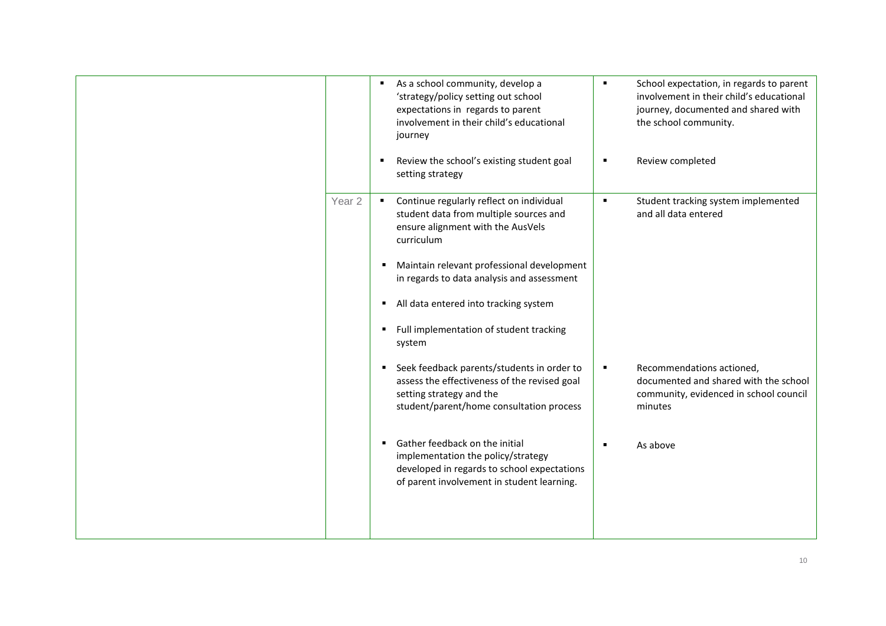|                   | ٠ | As a school community, develop a<br>'strategy/policy setting out school<br>expectations in regards to parent<br>involvement in their child's educational<br>journey | $\blacksquare$ | School expectation, in regards to parent<br>involvement in their child's educational<br>journey, documented and shared with<br>the school community. |
|-------------------|---|---------------------------------------------------------------------------------------------------------------------------------------------------------------------|----------------|------------------------------------------------------------------------------------------------------------------------------------------------------|
|                   |   | Review the school's existing student goal<br>setting strategy                                                                                                       | п              | Review completed                                                                                                                                     |
| Year <sub>2</sub> |   | Continue regularly reflect on individual<br>student data from multiple sources and<br>ensure alignment with the AusVels<br>curriculum                               | $\blacksquare$ | Student tracking system implemented<br>and all data entered                                                                                          |
|                   |   | Maintain relevant professional development<br>in regards to data analysis and assessment                                                                            |                |                                                                                                                                                      |
|                   |   | All data entered into tracking system                                                                                                                               |                |                                                                                                                                                      |
|                   |   | Full implementation of student tracking<br>system                                                                                                                   |                |                                                                                                                                                      |
|                   |   | Seek feedback parents/students in order to<br>assess the effectiveness of the revised goal<br>setting strategy and the<br>student/parent/home consultation process  | $\blacksquare$ | Recommendations actioned,<br>documented and shared with the school<br>community, evidenced in school council<br>minutes                              |
|                   |   | Gather feedback on the initial<br>implementation the policy/strategy<br>developed in regards to school expectations<br>of parent involvement in student learning.   | $\blacksquare$ | As above                                                                                                                                             |
|                   |   |                                                                                                                                                                     |                |                                                                                                                                                      |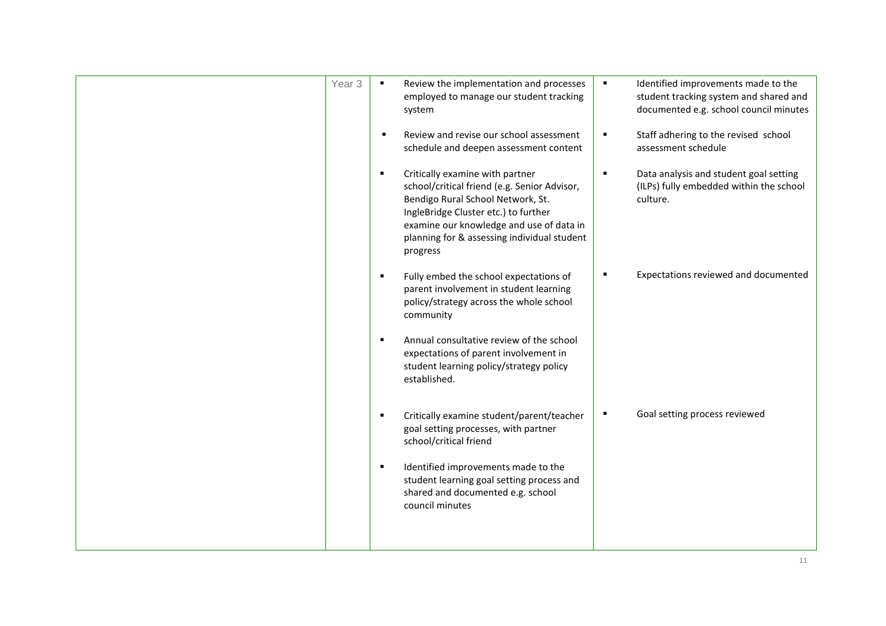| Year <sub>3</sub> |                | Review the implementation and processes<br>employed to manage our student tracking<br>system                                                                                                                                                                        | $\blacksquare$ | Identified improvements made to the<br>student tracking system and shared and<br>documented e.g. school council minutes |
|-------------------|----------------|---------------------------------------------------------------------------------------------------------------------------------------------------------------------------------------------------------------------------------------------------------------------|----------------|-------------------------------------------------------------------------------------------------------------------------|
|                   |                | Review and revise our school assessment<br>schedule and deepen assessment content                                                                                                                                                                                   | $\blacksquare$ | Staff adhering to the revised school<br>assessment schedule                                                             |
|                   | $\blacksquare$ | Critically examine with partner<br>school/critical friend (e.g. Senior Advisor,<br>Bendigo Rural School Network, St.<br>IngleBridge Cluster etc.) to further<br>examine our knowledge and use of data in<br>planning for & assessing individual student<br>progress | $\blacksquare$ | Data analysis and student goal setting<br>(ILPs) fully embedded within the school<br>culture.                           |
|                   | п              | Fully embed the school expectations of<br>parent involvement in student learning<br>policy/strategy across the whole school<br>community                                                                                                                            | п              | Expectations reviewed and documented                                                                                    |
|                   | $\blacksquare$ | Annual consultative review of the school<br>expectations of parent involvement in<br>student learning policy/strategy policy<br>established.                                                                                                                        |                |                                                                                                                         |
|                   | $\blacksquare$ | Critically examine student/parent/teacher<br>goal setting processes, with partner<br>school/critical friend                                                                                                                                                         | $\blacksquare$ | Goal setting process reviewed                                                                                           |
|                   | $\blacksquare$ | Identified improvements made to the<br>student learning goal setting process and<br>shared and documented e.g. school<br>council minutes                                                                                                                            |                |                                                                                                                         |
|                   |                |                                                                                                                                                                                                                                                                     |                |                                                                                                                         |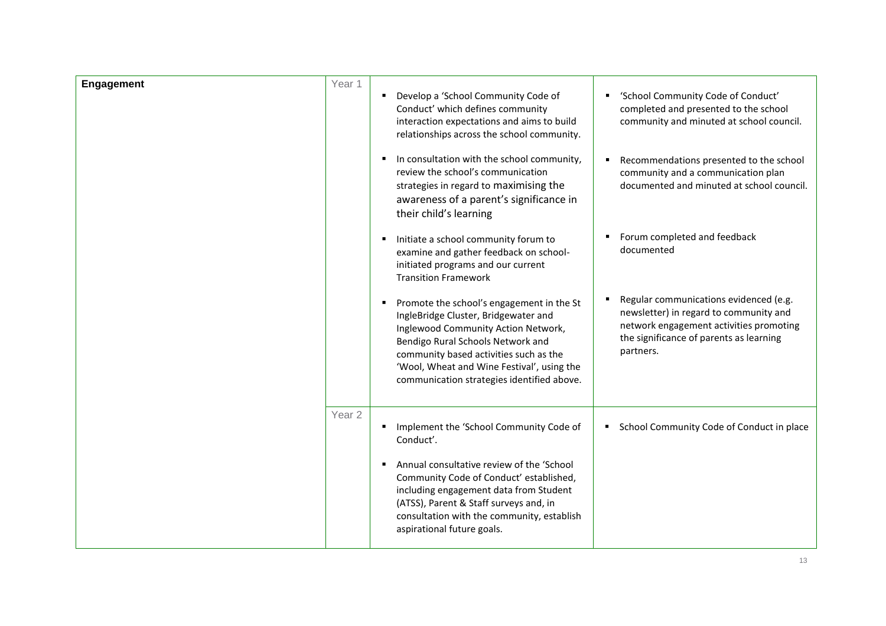| Engagement | Year 1            | • Develop a 'School Community Code of<br>Conduct' which defines community<br>interaction expectations and aims to build<br>relationships across the school community.<br>In consultation with the school community,<br>п                                                                            | 'School Community Code of Conduct'<br>٠<br>completed and presented to the school<br>community and minuted at school council.<br>Recommendations presented to the school             |
|------------|-------------------|-----------------------------------------------------------------------------------------------------------------------------------------------------------------------------------------------------------------------------------------------------------------------------------------------------|-------------------------------------------------------------------------------------------------------------------------------------------------------------------------------------|
|            |                   | review the school's communication<br>strategies in regard to maximising the<br>awareness of a parent's significance in<br>their child's learning                                                                                                                                                    | community and a communication plan<br>documented and minuted at school council.                                                                                                     |
|            |                   | Initiate a school community forum to<br>examine and gather feedback on school-<br>initiated programs and our current<br><b>Transition Framework</b>                                                                                                                                                 | Forum completed and feedback<br>٠<br>documented                                                                                                                                     |
|            |                   | Promote the school's engagement in the St<br>IngleBridge Cluster, Bridgewater and<br>Inglewood Community Action Network,<br>Bendigo Rural Schools Network and<br>community based activities such as the<br>'Wool, Wheat and Wine Festival', using the<br>communication strategies identified above. | Regular communications evidenced (e.g.<br>newsletter) in regard to community and<br>network engagement activities promoting<br>the significance of parents as learning<br>partners. |
|            | Year <sub>2</sub> | Implement the 'School Community Code of<br>Conduct'.                                                                                                                                                                                                                                                | School Community Code of Conduct in place<br>٠                                                                                                                                      |
|            |                   | Annual consultative review of the 'School<br>Community Code of Conduct' established,<br>including engagement data from Student<br>(ATSS), Parent & Staff surveys and, in<br>consultation with the community, establish<br>aspirational future goals.                                                |                                                                                                                                                                                     |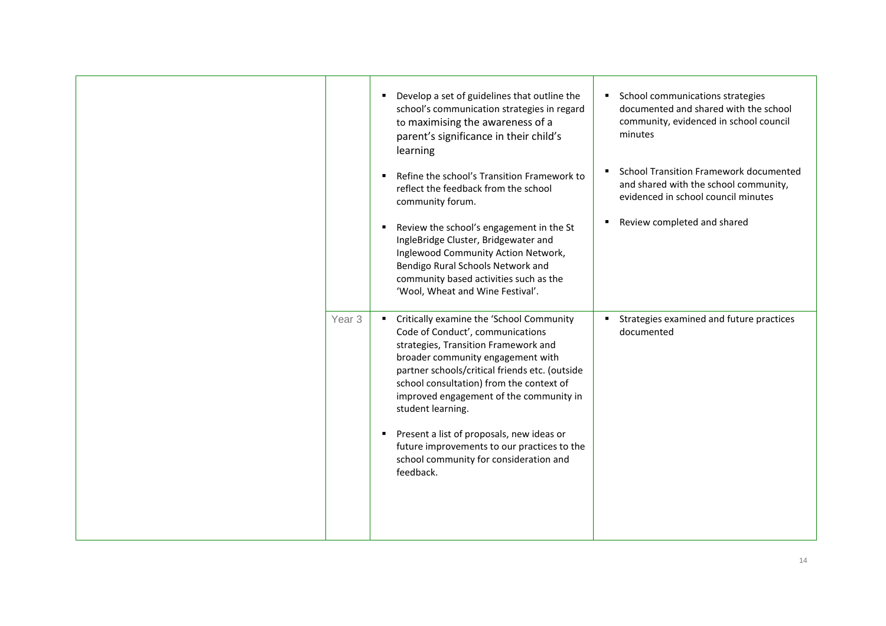|                   | Develop a set of guidelines that outline the<br>school's communication strategies in regard<br>to maximising the awareness of a<br>parent's significance in their child's<br>learning                                                                                                                                                                                                                                                                                      | School communications strategies<br>٠<br>documented and shared with the school<br>community, evidenced in school council<br>minutes |
|-------------------|----------------------------------------------------------------------------------------------------------------------------------------------------------------------------------------------------------------------------------------------------------------------------------------------------------------------------------------------------------------------------------------------------------------------------------------------------------------------------|-------------------------------------------------------------------------------------------------------------------------------------|
|                   | Refine the school's Transition Framework to<br>reflect the feedback from the school<br>community forum.                                                                                                                                                                                                                                                                                                                                                                    | <b>School Transition Framework documented</b><br>and shared with the school community,<br>evidenced in school council minutes       |
|                   | Review the school's engagement in the St<br>IngleBridge Cluster, Bridgewater and<br>Inglewood Community Action Network,<br>Bendigo Rural Schools Network and<br>community based activities such as the<br>'Wool, Wheat and Wine Festival'.                                                                                                                                                                                                                                 | Review completed and shared                                                                                                         |
| Year <sub>3</sub> | Critically examine the 'School Community<br>Code of Conduct', communications<br>strategies, Transition Framework and<br>broader community engagement with<br>partner schools/critical friends etc. (outside<br>school consultation) from the context of<br>improved engagement of the community in<br>student learning.<br>Present a list of proposals, new ideas or<br>future improvements to our practices to the<br>school community for consideration and<br>feedback. | Strategies examined and future practices<br>documented                                                                              |
|                   |                                                                                                                                                                                                                                                                                                                                                                                                                                                                            |                                                                                                                                     |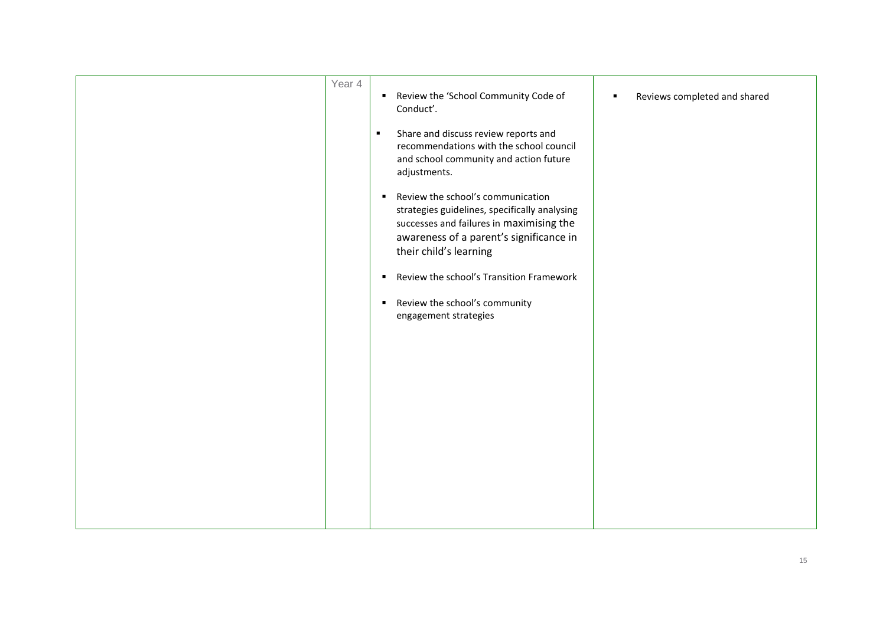| Year 4 | Review the 'School Community Code of<br>Conduct'.<br>Share and discuss review reports and<br>$\blacksquare$<br>recommendations with the school council<br>and school community and action future<br>adjustments.      | Reviews completed and shared |
|--------|-----------------------------------------------------------------------------------------------------------------------------------------------------------------------------------------------------------------------|------------------------------|
|        | Review the school's communication<br>$\blacksquare$<br>strategies guidelines, specifically analysing<br>successes and failures in maximising the<br>awareness of a parent's significance in<br>their child's learning |                              |
|        | Review the school's Transition Framework<br>٠<br>Review the school's community<br>٠<br>engagement strategies                                                                                                          |                              |
|        |                                                                                                                                                                                                                       |                              |
|        |                                                                                                                                                                                                                       |                              |
|        |                                                                                                                                                                                                                       |                              |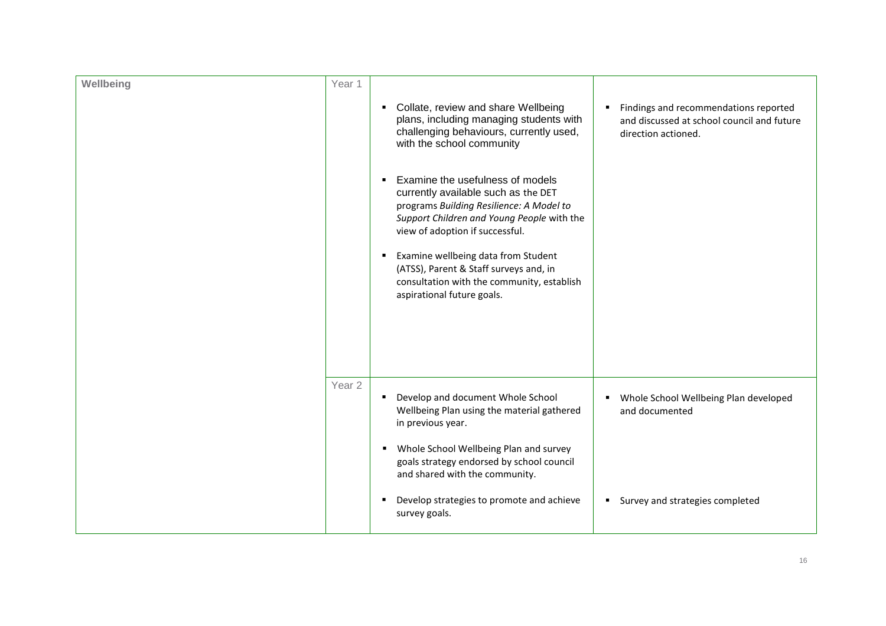| Wellbeing | Year 1            |                                                                                                                                                                                                                                                                                                                                                                                                                                                                                                                             |                                                                                                            |
|-----------|-------------------|-----------------------------------------------------------------------------------------------------------------------------------------------------------------------------------------------------------------------------------------------------------------------------------------------------------------------------------------------------------------------------------------------------------------------------------------------------------------------------------------------------------------------------|------------------------------------------------------------------------------------------------------------|
|           |                   | Collate, review and share Wellbeing<br>plans, including managing students with<br>challenging behaviours, currently used,<br>with the school community<br>Examine the usefulness of models<br>currently available such as the DET<br>programs Building Resilience: A Model to<br>Support Children and Young People with the<br>view of adoption if successful.<br>Examine wellbeing data from Student<br>(ATSS), Parent & Staff surveys and, in<br>consultation with the community, establish<br>aspirational future goals. | Findings and recommendations reported<br>and discussed at school council and future<br>direction actioned. |
|           | Year <sub>2</sub> | Develop and document Whole School<br>Wellbeing Plan using the material gathered<br>in previous year.<br>Whole School Wellbeing Plan and survey<br>٠<br>goals strategy endorsed by school council<br>and shared with the community.<br>Develop strategies to promote and achieve<br>survey goals.                                                                                                                                                                                                                            | Whole School Wellbeing Plan developed<br>and documented<br>Survey and strategies completed<br>٠            |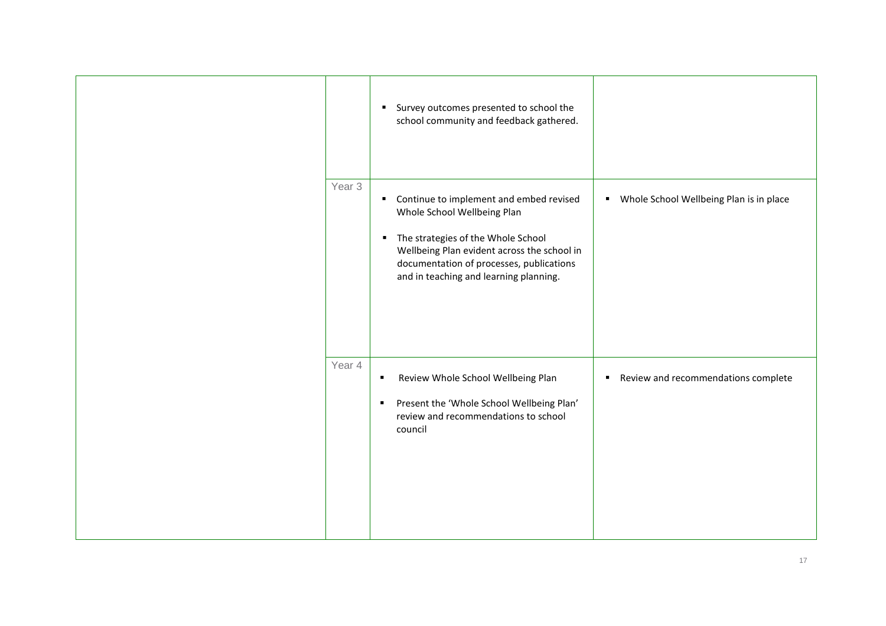|                   | Survey outcomes presented to school the<br>٠.<br>school community and feedback gathered.                                                                                                                                                                  |                                              |
|-------------------|-----------------------------------------------------------------------------------------------------------------------------------------------------------------------------------------------------------------------------------------------------------|----------------------------------------------|
| Year <sub>3</sub> | Continue to implement and embed revised<br>л.<br>Whole School Wellbeing Plan<br>• The strategies of the Whole School<br>Wellbeing Plan evident across the school in<br>documentation of processes, publications<br>and in teaching and learning planning. | Whole School Wellbeing Plan is in place<br>٠ |
| Year 4            | Review Whole School Wellbeing Plan<br>٠<br>Present the 'Whole School Wellbeing Plan'<br>п<br>review and recommendations to school<br>council                                                                                                              | Review and recommendations complete<br>٠     |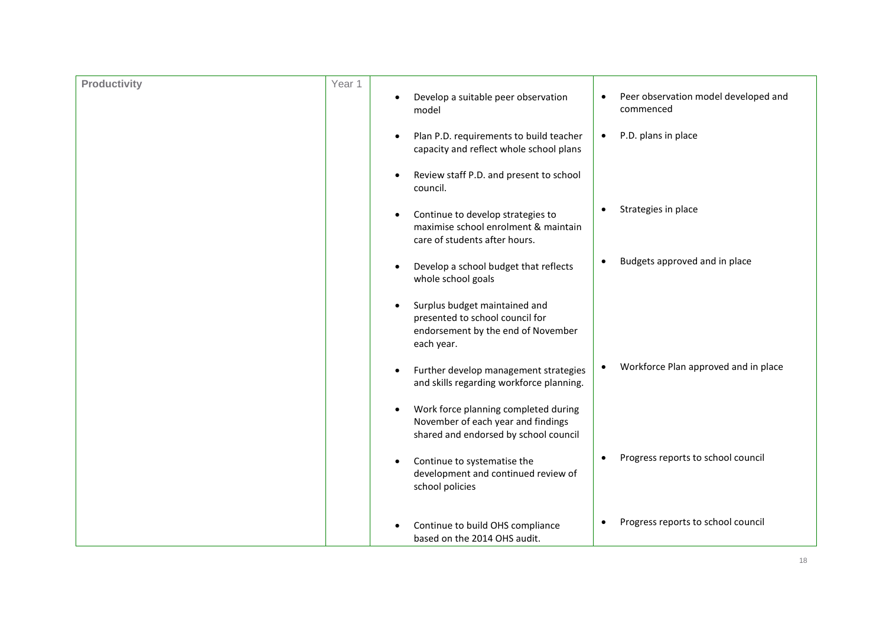| <b>Productivity</b> | Year 1 | Develop a suitable peer observation<br>model                                                                                      | Peer observation model developed and<br>$\bullet$<br>commenced |
|---------------------|--------|-----------------------------------------------------------------------------------------------------------------------------------|----------------------------------------------------------------|
|                     |        | Plan P.D. requirements to build teacher<br>capacity and reflect whole school plans                                                | P.D. plans in place<br>$\bullet$                               |
|                     |        | Review staff P.D. and present to school<br>council.                                                                               |                                                                |
|                     |        | Continue to develop strategies to<br>٠<br>maximise school enrolment & maintain<br>care of students after hours.                   | Strategies in place                                            |
|                     |        | Develop a school budget that reflects<br>whole school goals                                                                       | Budgets approved and in place                                  |
|                     |        | Surplus budget maintained and<br>$\bullet$<br>presented to school council for<br>endorsement by the end of November<br>each year. |                                                                |
|                     |        | Further develop management strategies<br>$\bullet$<br>and skills regarding workforce planning.                                    | Workforce Plan approved and in place                           |
|                     |        | Work force planning completed during<br>$\bullet$<br>November of each year and findings<br>shared and endorsed by school council  |                                                                |
|                     |        | Continue to systematise the<br>development and continued review of<br>school policies                                             | Progress reports to school council                             |
|                     |        | Continue to build OHS compliance<br>based on the 2014 OHS audit.                                                                  | Progress reports to school council                             |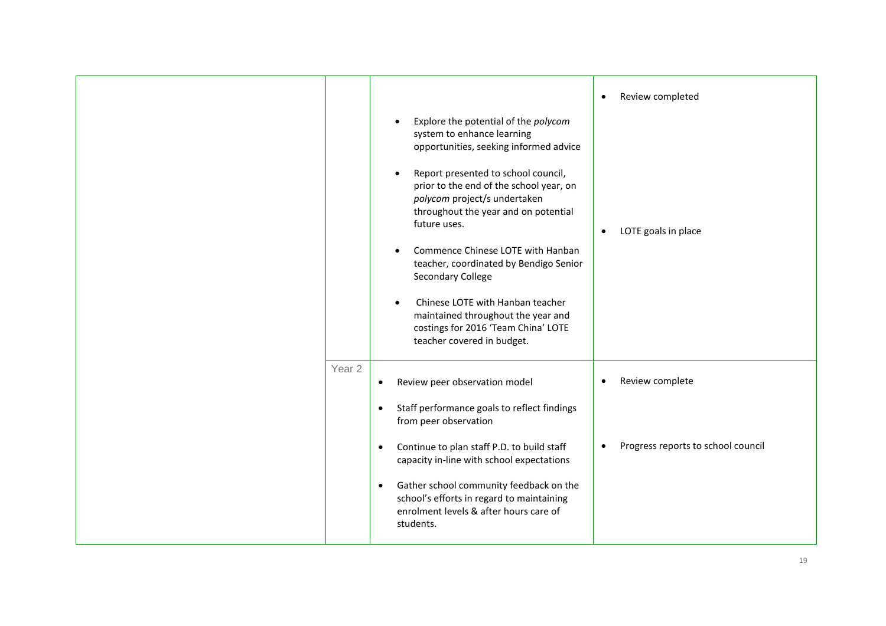| Explore the potential of the polycom<br>system to enhance learning<br>opportunities, seeking informed advice<br>Report presented to school council,<br>prior to the end of the school year, on<br>polycom project/s undertaken<br>throughout the year and on potential<br>future uses.<br>Commence Chinese LOTE with Hanban<br>teacher, coordinated by Bendigo Senior<br><b>Secondary College</b><br>Chinese LOTE with Hanban teacher<br>maintained throughout the year and<br>costings for 2016 'Team China' LOTE<br>teacher covered in budget. | Review completed<br>$\bullet$<br>LOTE goals in place<br>$\bullet$  |
|--------------------------------------------------------------------------------------------------------------------------------------------------------------------------------------------------------------------------------------------------------------------------------------------------------------------------------------------------------------------------------------------------------------------------------------------------------------------------------------------------------------------------------------------------|--------------------------------------------------------------------|
| Year 2<br>Review peer observation model<br>$\bullet$<br>Staff performance goals to reflect findings<br>$\bullet$<br>from peer observation<br>Continue to plan staff P.D. to build staff<br>$\bullet$<br>capacity in-line with school expectations<br>Gather school community feedback on the<br>$\bullet$<br>school's efforts in regard to maintaining<br>enrolment levels & after hours care of<br>students.                                                                                                                                    | Review complete<br>$\bullet$<br>Progress reports to school council |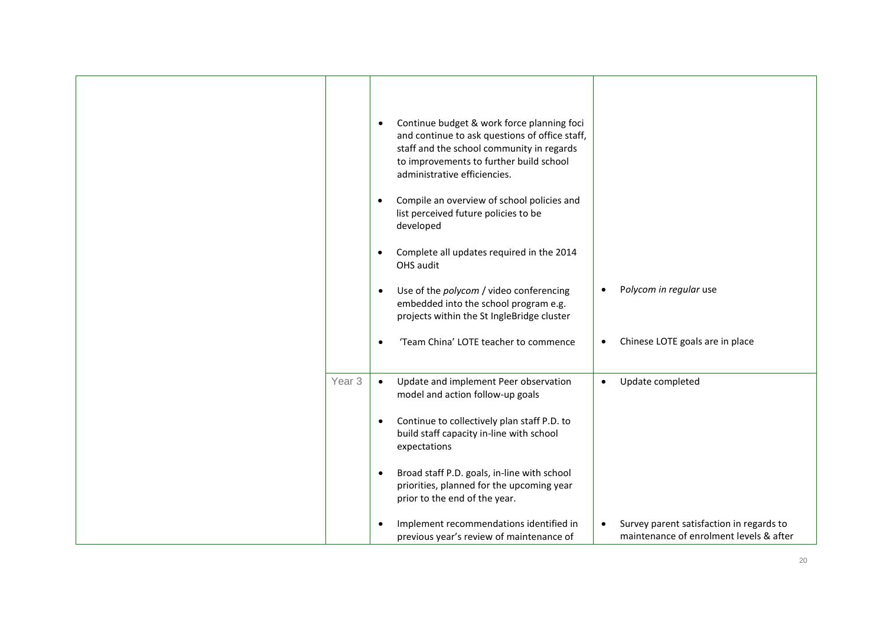|                   | Continue budget & work force planning foci<br>$\bullet$<br>and continue to ask questions of office staff,<br>staff and the school community in regards<br>to improvements to further build school<br>administrative efficiencies.<br>Compile an overview of school policies and<br>$\bullet$<br>list perceived future policies to be<br>developed<br>Complete all updates required in the 2014<br>$\bullet$<br>OHS audit<br>Use of the polycom / video conferencing<br>$\bullet$<br>embedded into the school program e.g.<br>projects within the St IngleBridge cluster<br>'Team China' LOTE teacher to commence<br>$\bullet$ | Polycom in regular use<br>Chinese LOTE goals are in place<br>$\bullet$              |
|-------------------|-------------------------------------------------------------------------------------------------------------------------------------------------------------------------------------------------------------------------------------------------------------------------------------------------------------------------------------------------------------------------------------------------------------------------------------------------------------------------------------------------------------------------------------------------------------------------------------------------------------------------------|-------------------------------------------------------------------------------------|
| Year <sub>3</sub> | Update and implement Peer observation<br>$\bullet$<br>model and action follow-up goals<br>Continue to collectively plan staff P.D. to<br>$\bullet$<br>build staff capacity in-line with school<br>expectations                                                                                                                                                                                                                                                                                                                                                                                                                | Update completed<br>$\bullet$                                                       |
|                   | Broad staff P.D. goals, in-line with school<br>$\bullet$<br>priorities, planned for the upcoming year<br>prior to the end of the year.<br>Implement recommendations identified in<br>$\bullet$<br>previous year's review of maintenance of                                                                                                                                                                                                                                                                                                                                                                                    | Survey parent satisfaction in regards to<br>maintenance of enrolment levels & after |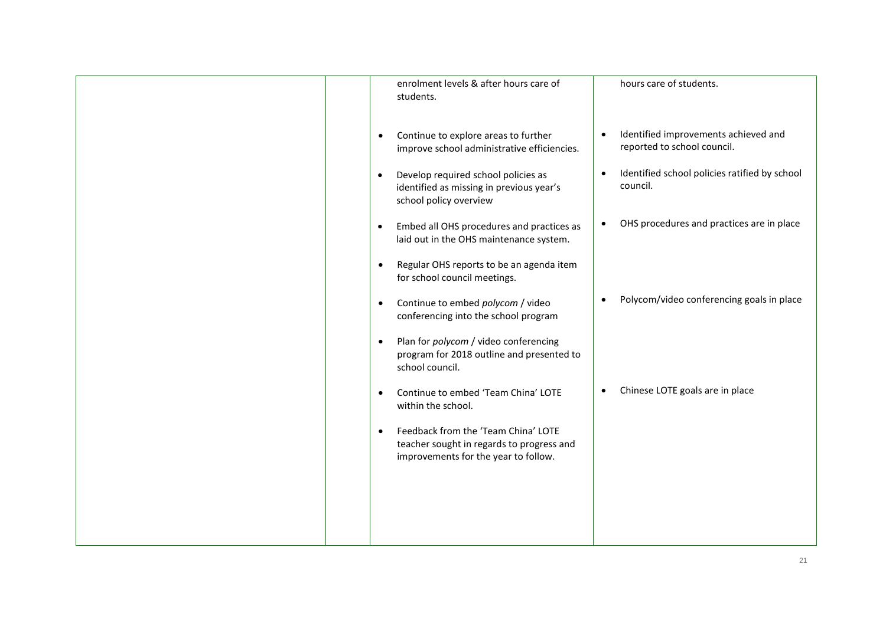| enrolment levels & after hours care of<br>students.                                                                                   | hours care of students.                                                |
|---------------------------------------------------------------------------------------------------------------------------------------|------------------------------------------------------------------------|
| Continue to explore areas to further<br>$\bullet$<br>improve school administrative efficiencies.                                      | Identified improvements achieved and<br>reported to school council.    |
| Develop required school policies as<br>$\bullet$<br>identified as missing in previous year's<br>school policy overview                | Identified school policies ratified by school<br>$\bullet$<br>council. |
| Embed all OHS procedures and practices as<br>$\bullet$<br>laid out in the OHS maintenance system.                                     | OHS procedures and practices are in place                              |
| Regular OHS reports to be an agenda item<br>$\bullet$<br>for school council meetings.                                                 |                                                                        |
| Continue to embed polycom / video<br>$\bullet$<br>conferencing into the school program                                                | Polycom/video conferencing goals in place                              |
| Plan for polycom / video conferencing<br>$\bullet$<br>program for 2018 outline and presented to<br>school council.                    |                                                                        |
| Continue to embed 'Team China' LOTE<br>$\bullet$<br>within the school.                                                                | Chinese LOTE goals are in place<br>$\bullet$                           |
| Feedback from the 'Team China' LOTE<br>$\bullet$<br>teacher sought in regards to progress and<br>improvements for the year to follow. |                                                                        |
|                                                                                                                                       |                                                                        |
|                                                                                                                                       |                                                                        |